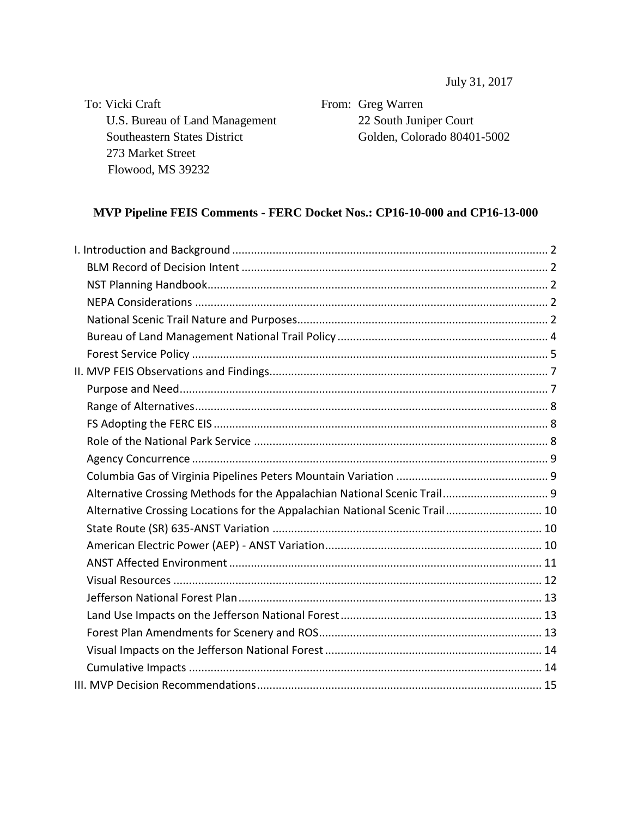July 31, 2017

To: Vicki Craft U.S. Bureau of Land Management Southeastern States District 273 Market Street Flowood, MS 39232

From: Greg Warren 22 South Juniper Court Golden, Colorado 80401-5002

## **MVP Pipeline FEIS Comments - FERC Docket Nos.: CP16-10-000 and CP16-13-000**

| Alternative Crossing Methods for the Appalachian National Scenic Trail 9    |  |
|-----------------------------------------------------------------------------|--|
| Alternative Crossing Locations for the Appalachian National Scenic Trail 10 |  |
|                                                                             |  |
|                                                                             |  |
|                                                                             |  |
|                                                                             |  |
|                                                                             |  |
|                                                                             |  |
|                                                                             |  |
|                                                                             |  |
|                                                                             |  |
|                                                                             |  |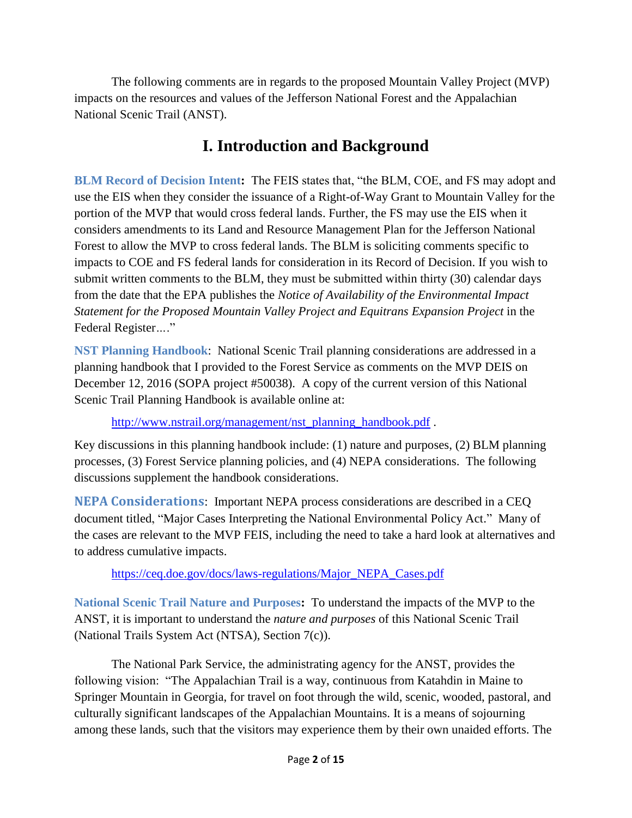The following comments are in regards to the proposed Mountain Valley Project (MVP) impacts on the resources and values of the Jefferson National Forest and the Appalachian National Scenic Trail (ANST).

## **I. Introduction and Background**

<span id="page-1-1"></span><span id="page-1-0"></span>**BLM Record of Decision Intent:** The FEIS states that, "the BLM, COE, and FS may adopt and use the EIS when they consider the issuance of a Right-of-Way Grant to Mountain Valley for the portion of the MVP that would cross federal lands. Further, the FS may use the EIS when it considers amendments to its Land and Resource Management Plan for the Jefferson National Forest to allow the MVP to cross federal lands. The BLM is soliciting comments specific to impacts to COE and FS federal lands for consideration in its Record of Decision. If you wish to submit written comments to the BLM, they must be submitted within thirty (30) calendar days from the date that the EPA publishes the *Notice of Availability of the Environmental Impact Statement for the Proposed Mountain Valley Project and Equitrans Expansion Project* in the Federal Register*…*."

<span id="page-1-2"></span>**NST Planning Handbook**: National Scenic Trail planning considerations are addressed in a planning handbook that I provided to the Forest Service as comments on the MVP DEIS on December 12, 2016 (SOPA project #50038). A copy of the current version of this National Scenic Trail Planning Handbook is available online at:

[http://www.nstrail.org/management/nst\\_planning\\_handbook.pdf](http://www.nstrail.org/management/nst_planning_handbook.pdf).

Key discussions in this planning handbook include: (1) nature and purposes, (2) BLM planning processes, (3) Forest Service planning policies, and (4) NEPA considerations. The following discussions supplement the handbook considerations.

<span id="page-1-3"></span>**NEPA Considerations**: Important NEPA process considerations are described in a CEQ document titled, "Major Cases Interpreting the National Environmental Policy Act." Many of the cases are relevant to the MVP FEIS, including the need to take a hard look at alternatives and to address cumulative impacts.

[https://ceq.doe.gov/docs/laws-regulations/Major\\_NEPA\\_Cases.pdf](https://ceq.doe.gov/docs/laws-regulations/Major_NEPA_Cases.pdf)

<span id="page-1-4"></span>**National Scenic Trail Nature and Purposes:** To understand the impacts of the MVP to the ANST, it is important to understand the *nature and purposes* of this National Scenic Trail (National Trails System Act (NTSA), Section 7(c)).

The National Park Service, the administrating agency for the ANST, provides the following vision: "The Appalachian Trail is a way, continuous from Katahdin in Maine to Springer Mountain in Georgia, for travel on foot through the wild, scenic, wooded, pastoral, and culturally significant landscapes of the Appalachian Mountains. It is a means of sojourning among these lands, such that the visitors may experience them by their own unaided efforts. The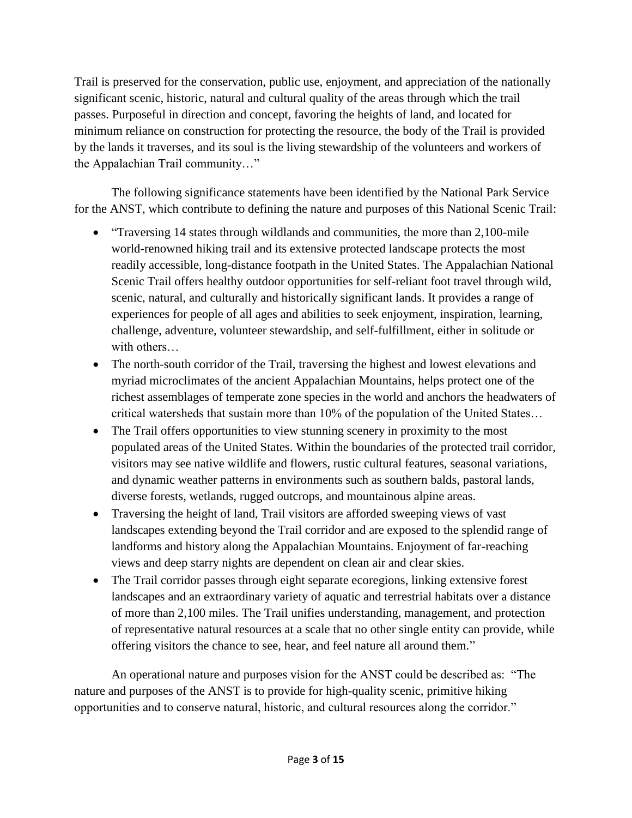Trail is preserved for the conservation, public use, enjoyment, and appreciation of the nationally significant scenic, historic, natural and cultural quality of the areas through which the trail passes. Purposeful in direction and concept, favoring the heights of land, and located for minimum reliance on construction for protecting the resource, the body of the Trail is provided by the lands it traverses, and its soul is the living stewardship of the volunteers and workers of the Appalachian Trail community…"

The following significance statements have been identified by the National Park Service for the ANST, which contribute to defining the nature and purposes of this National Scenic Trail:

- "Traversing 14 states through wildlands and communities, the more than 2,100-mile world-renowned hiking trail and its extensive protected landscape protects the most readily accessible, long-distance footpath in the United States. The Appalachian National Scenic Trail offers healthy outdoor opportunities for self-reliant foot travel through wild, scenic, natural, and culturally and historically significant lands. It provides a range of experiences for people of all ages and abilities to seek enjoyment, inspiration, learning, challenge, adventure, volunteer stewardship, and self-fulfillment, either in solitude or with others...
- The north-south corridor of the Trail, traversing the highest and lowest elevations and myriad microclimates of the ancient Appalachian Mountains, helps protect one of the richest assemblages of temperate zone species in the world and anchors the headwaters of critical watersheds that sustain more than 10% of the population of the United States…
- The Trail offers opportunities to view stunning scenery in proximity to the most populated areas of the United States. Within the boundaries of the protected trail corridor, visitors may see native wildlife and flowers, rustic cultural features, seasonal variations, and dynamic weather patterns in environments such as southern balds, pastoral lands, diverse forests, wetlands, rugged outcrops, and mountainous alpine areas.
- Traversing the height of land, Trail visitors are afforded sweeping views of vast landscapes extending beyond the Trail corridor and are exposed to the splendid range of landforms and history along the Appalachian Mountains. Enjoyment of far-reaching views and deep starry nights are dependent on clean air and clear skies.
- The Trail corridor passes through eight separate ecoregions, linking extensive forest landscapes and an extraordinary variety of aquatic and terrestrial habitats over a distance of more than 2,100 miles. The Trail unifies understanding, management, and protection of representative natural resources at a scale that no other single entity can provide, while offering visitors the chance to see, hear, and feel nature all around them."

An operational nature and purposes vision for the ANST could be described as: "The nature and purposes of the ANST is to provide for high-quality scenic, primitive hiking opportunities and to conserve natural, historic, and cultural resources along the corridor."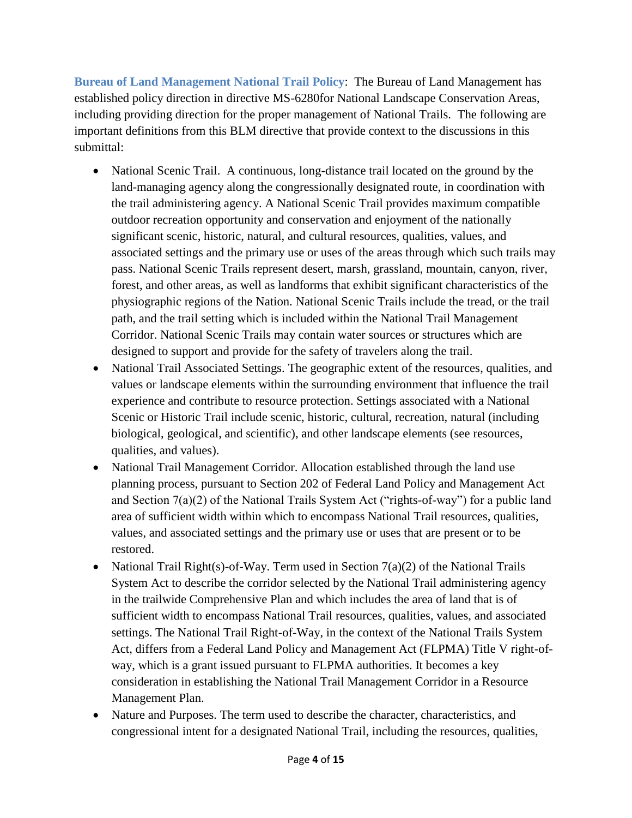<span id="page-3-0"></span>**Bureau of Land Management National Trail Policy**: The Bureau of Land Management has established policy direction in directive MS-6280for National Landscape Conservation Areas, including providing direction for the proper management of National Trails. The following are important definitions from this BLM directive that provide context to the discussions in this submittal:

- National Scenic Trail. A continuous, long-distance trail located on the ground by the land-managing agency along the congressionally designated route, in coordination with the trail administering agency. A National Scenic Trail provides maximum compatible outdoor recreation opportunity and conservation and enjoyment of the nationally significant scenic, historic, natural, and cultural resources, qualities, values, and associated settings and the primary use or uses of the areas through which such trails may pass. National Scenic Trails represent desert, marsh, grassland, mountain, canyon, river, forest, and other areas, as well as landforms that exhibit significant characteristics of the physiographic regions of the Nation. National Scenic Trails include the tread, or the trail path, and the trail setting which is included within the National Trail Management Corridor. National Scenic Trails may contain water sources or structures which are designed to support and provide for the safety of travelers along the trail.
- National Trail Associated Settings. The geographic extent of the resources, qualities, and values or landscape elements within the surrounding environment that influence the trail experience and contribute to resource protection. Settings associated with a National Scenic or Historic Trail include scenic, historic, cultural, recreation, natural (including biological, geological, and scientific), and other landscape elements (see resources, qualities, and values).
- National Trail Management Corridor. Allocation established through the land use planning process, pursuant to Section 202 of Federal Land Policy and Management Act and Section  $7(a)(2)$  of the National Trails System Act ("rights-of-way") for a public land area of sufficient width within which to encompass National Trail resources, qualities, values, and associated settings and the primary use or uses that are present or to be restored.
- National Trail Right(s)-of-Way. Term used in Section  $7(a)(2)$  of the National Trails System Act to describe the corridor selected by the National Trail administering agency in the trailwide Comprehensive Plan and which includes the area of land that is of sufficient width to encompass National Trail resources, qualities, values, and associated settings. The National Trail Right-of-Way, in the context of the National Trails System Act, differs from a Federal Land Policy and Management Act (FLPMA) Title V right-ofway, which is a grant issued pursuant to FLPMA authorities. It becomes a key consideration in establishing the National Trail Management Corridor in a Resource Management Plan.
- Nature and Purposes. The term used to describe the character, characteristics, and congressional intent for a designated National Trail, including the resources, qualities,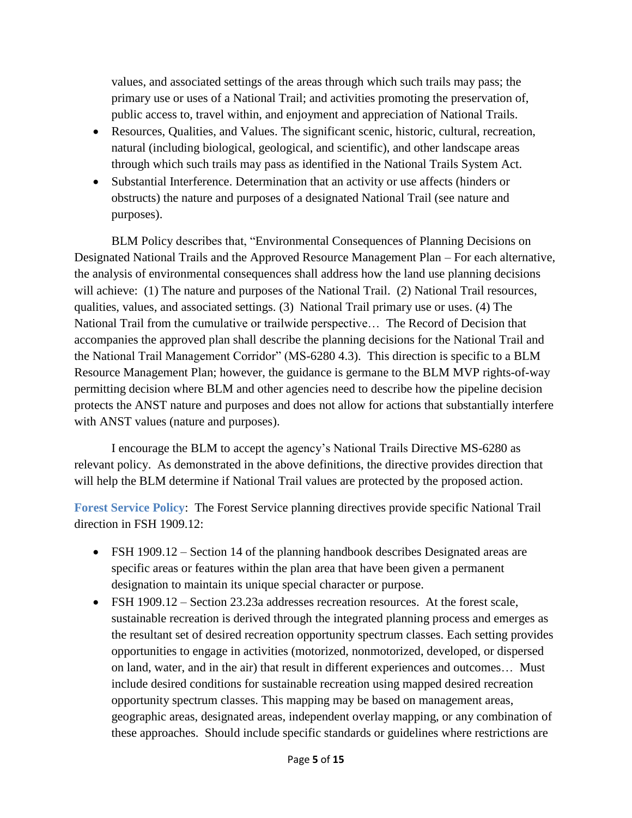values, and associated settings of the areas through which such trails may pass; the primary use or uses of a National Trail; and activities promoting the preservation of, public access to, travel within, and enjoyment and appreciation of National Trails.

- Resources, Qualities, and Values. The significant scenic, historic, cultural, recreation, natural (including biological, geological, and scientific), and other landscape areas through which such trails may pass as identified in the National Trails System Act.
- Substantial Interference. Determination that an activity or use affects (hinders or obstructs) the nature and purposes of a designated National Trail (see nature and purposes).

BLM Policy describes that, "Environmental Consequences of Planning Decisions on Designated National Trails and the Approved Resource Management Plan – For each alternative, the analysis of environmental consequences shall address how the land use planning decisions will achieve: (1) The nature and purposes of the National Trail. (2) National Trail resources, qualities, values, and associated settings. (3) National Trail primary use or uses. (4) The National Trail from the cumulative or trailwide perspective… The Record of Decision that accompanies the approved plan shall describe the planning decisions for the National Trail and the National Trail Management Corridor" (MS-6280 4.3). This direction is specific to a BLM Resource Management Plan; however, the guidance is germane to the BLM MVP rights-of-way permitting decision where BLM and other agencies need to describe how the pipeline decision protects the ANST nature and purposes and does not allow for actions that substantially interfere with ANST values (nature and purposes).

I encourage the BLM to accept the agency's National Trails Directive MS-6280 as relevant policy. As demonstrated in the above definitions, the directive provides direction that will help the BLM determine if National Trail values are protected by the proposed action.

<span id="page-4-0"></span>**Forest Service Policy**: The Forest Service planning directives provide specific National Trail direction in FSH 1909.12:

- FSH 1909.12 Section 14 of the planning handbook describes Designated areas are specific areas or features within the plan area that have been given a permanent designation to maintain its unique special character or purpose.
- FSH 1909.12 Section 23.23a addresses recreation resources. At the forest scale, sustainable recreation is derived through the integrated planning process and emerges as the resultant set of desired recreation opportunity spectrum classes. Each setting provides opportunities to engage in activities (motorized, nonmotorized, developed, or dispersed on land, water, and in the air) that result in different experiences and outcomes… Must include desired conditions for sustainable recreation using mapped desired recreation opportunity spectrum classes. This mapping may be based on management areas, geographic areas, designated areas, independent overlay mapping, or any combination of these approaches. Should include specific standards or guidelines where restrictions are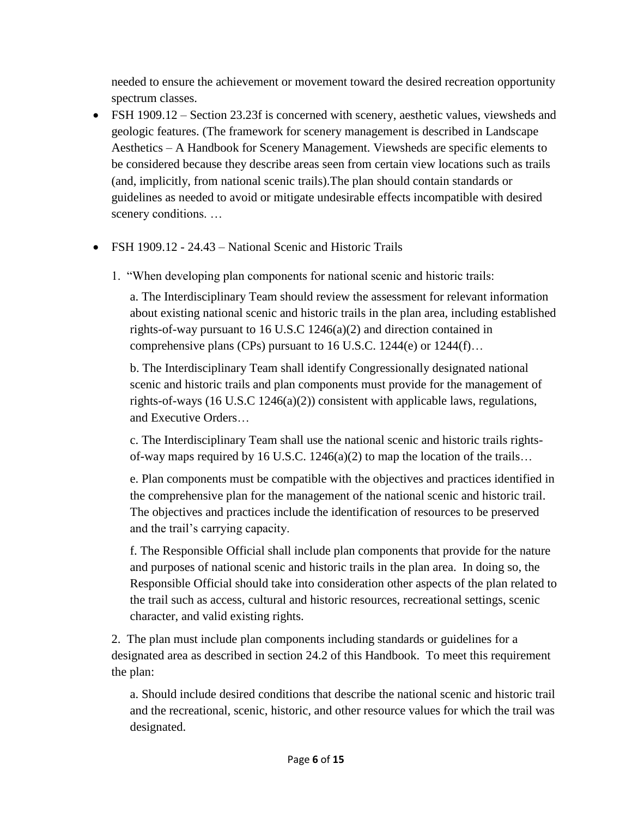needed to ensure the achievement or movement toward the desired recreation opportunity spectrum classes.

- FSH 1909.12 Section 23.23f is concerned with scenery, aesthetic values, viewsheds and geologic features. (The framework for scenery management is described in Landscape Aesthetics – A Handbook for Scenery Management. Viewsheds are specific elements to be considered because they describe areas seen from certain view locations such as trails (and, implicitly, from national scenic trails).The plan should contain standards or guidelines as needed to avoid or mitigate undesirable effects incompatible with desired scenery conditions. …
- FSH 1909.12 24.43 National Scenic and Historic Trails
	- 1. "When developing plan components for national scenic and historic trails:

a. The Interdisciplinary Team should review the assessment for relevant information about existing national scenic and historic trails in the plan area, including established rights-of-way pursuant to 16 U.S.C 1246(a)(2) and direction contained in comprehensive plans (CPs) pursuant to 16 U.S.C. 1244(e) or 1244(f)…

b. The Interdisciplinary Team shall identify Congressionally designated national scenic and historic trails and plan components must provide for the management of rights-of-ways (16 U.S.C 1246(a)(2)) consistent with applicable laws, regulations, and Executive Orders…

c. The Interdisciplinary Team shall use the national scenic and historic trails rightsof-way maps required by 16 U.S.C.  $1246(a)(2)$  to map the location of the trails...

e. Plan components must be compatible with the objectives and practices identified in the comprehensive plan for the management of the national scenic and historic trail. The objectives and practices include the identification of resources to be preserved and the trail's carrying capacity.

f. The Responsible Official shall include plan components that provide for the nature and purposes of national scenic and historic trails in the plan area. In doing so, the Responsible Official should take into consideration other aspects of the plan related to the trail such as access, cultural and historic resources, recreational settings, scenic character, and valid existing rights.

2. The plan must include plan components including standards or guidelines for a designated area as described in section 24.2 of this Handbook. To meet this requirement the plan:

a. Should include desired conditions that describe the national scenic and historic trail and the recreational, scenic, historic, and other resource values for which the trail was designated.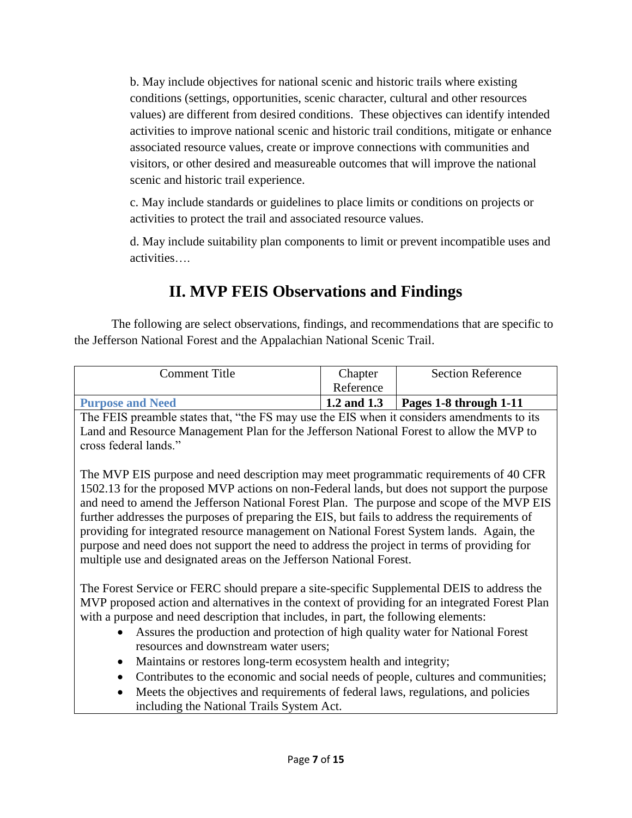b. May include objectives for national scenic and historic trails where existing conditions (settings, opportunities, scenic character, cultural and other resources values) are different from desired conditions. These objectives can identify intended activities to improve national scenic and historic trail conditions, mitigate or enhance associated resource values, create or improve connections with communities and visitors, or other desired and measureable outcomes that will improve the national scenic and historic trail experience.

c. May include standards or guidelines to place limits or conditions on projects or activities to protect the trail and associated resource values.

d. May include suitability plan components to limit or prevent incompatible uses and activities….

## **II. MVP FEIS Observations and Findings**

<span id="page-6-0"></span>The following are select observations, findings, and recommendations that are specific to the Jefferson National Forest and the Appalachian National Scenic Trail.

| Comment Title           | Chapter     | <b>Section Reference</b> |
|-------------------------|-------------|--------------------------|
|                         | Reference   |                          |
| <b>Purpose and Need</b> | 1.2 and 1.3 | Pages 1-8 through $1-11$ |

<span id="page-6-1"></span>The FEIS preamble states that, "the FS may use the EIS when it considers amendments to its Land and Resource Management Plan for the Jefferson National Forest to allow the MVP to cross federal lands."

The MVP EIS purpose and need description may meet programmatic requirements of 40 CFR 1502.13 for the proposed MVP actions on non-Federal lands, but does not support the purpose and need to amend the Jefferson National Forest Plan. The purpose and scope of the MVP EIS further addresses the purposes of preparing the EIS, but fails to address the requirements of providing for integrated resource management on National Forest System lands. Again, the purpose and need does not support the need to address the project in terms of providing for multiple use and designated areas on the Jefferson National Forest.

The Forest Service or FERC should prepare a site-specific Supplemental DEIS to address the MVP proposed action and alternatives in the context of providing for an integrated Forest Plan with a purpose and need description that includes, in part, the following elements:

- Assures the production and protection of high quality water for National Forest resources and downstream water users;
- Maintains or restores long-term ecosystem health and integrity;
- Contributes to the economic and social needs of people, cultures and communities;
- Meets the objectives and requirements of federal laws, regulations, and policies including the National Trails System Act.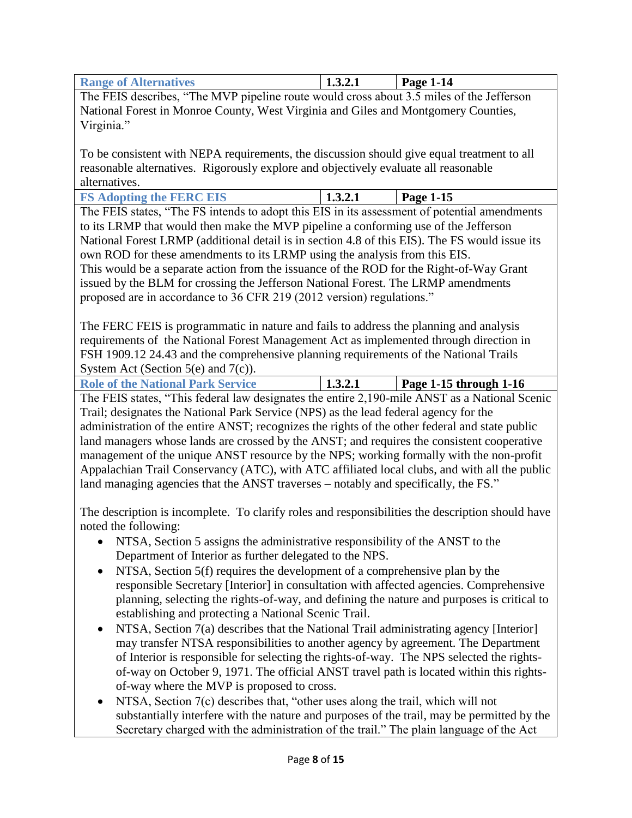<span id="page-7-2"></span><span id="page-7-1"></span><span id="page-7-0"></span>

| <b>Range of Alternatives</b>                                                                     | 1.3.2.1 | Page 1-14              |
|--------------------------------------------------------------------------------------------------|---------|------------------------|
| The FEIS describes, "The MVP pipeline route would cross about 3.5 miles of the Jefferson         |         |                        |
| National Forest in Monroe County, West Virginia and Giles and Montgomery Counties,               |         |                        |
| Virginia."                                                                                       |         |                        |
|                                                                                                  |         |                        |
| To be consistent with NEPA requirements, the discussion should give equal treatment to all       |         |                        |
| reasonable alternatives. Rigorously explore and objectively evaluate all reasonable              |         |                        |
| alternatives.                                                                                    |         |                        |
| <b>FS Adopting the FERC EIS</b>                                                                  | 1.3.2.1 | Page 1-15              |
| The FEIS states, "The FS intends to adopt this EIS in its assessment of potential amendments     |         |                        |
| to its LRMP that would then make the MVP pipeline a conforming use of the Jefferson              |         |                        |
| National Forest LRMP (additional detail is in section 4.8 of this EIS). The FS would issue its   |         |                        |
| own ROD for these amendments to its LRMP using the analysis from this EIS.                       |         |                        |
| This would be a separate action from the issuance of the ROD for the Right-of-Way Grant          |         |                        |
| issued by the BLM for crossing the Jefferson National Forest. The LRMP amendments                |         |                        |
| proposed are in accordance to 36 CFR 219 (2012 version) regulations."                            |         |                        |
|                                                                                                  |         |                        |
| The FERC FEIS is programmatic in nature and fails to address the planning and analysis           |         |                        |
| requirements of the National Forest Management Act as implemented through direction in           |         |                        |
| FSH 1909.12 24.43 and the comprehensive planning requirements of the National Trails             |         |                        |
| System Act (Section 5(e) and 7(c)).                                                              |         |                        |
| <b>Role of the National Park Service</b>                                                         | 1.3.2.1 | Page 1-15 through 1-16 |
| The FEIS states, "This federal law designates the entire 2,190-mile ANST as a National Scenic    |         |                        |
| Trail; designates the National Park Service (NPS) as the lead federal agency for the             |         |                        |
| administration of the entire ANST; recognizes the rights of the other federal and state public   |         |                        |
| land managers whose lands are crossed by the ANST; and requires the consistent cooperative       |         |                        |
| management of the unique ANST resource by the NPS; working formally with the non-profit          |         |                        |
| Appalachian Trail Conservancy (ATC), with ATC affiliated local clubs, and with all the public    |         |                        |
| land managing agencies that the ANST traverses – notably and specifically, the FS."              |         |                        |
|                                                                                                  |         |                        |
| The description is incomplete. To clarify roles and responsibilities the description should have |         |                        |
| noted the following:                                                                             |         |                        |
| NTSA, Section 5 assigns the administrative responsibility of the ANST to the                     |         |                        |
| Department of Interior as further delegated to the NPS.                                          |         |                        |
| NTSA, Section 5(f) requires the development of a comprehensive plan by the                       |         |                        |
| responsible Secretary [Interior] in consultation with affected agencies. Comprehensive           |         |                        |
| planning, selecting the rights-of-way, and defining the nature and purposes is critical to       |         |                        |
| establishing and protecting a National Scenic Trail.                                             |         |                        |
| NTSA, Section 7(a) describes that the National Trail administrating agency [Interior]            |         |                        |
| may transfer NTSA responsibilities to another agency by agreement. The Department                |         |                        |
| of Interior is responsible for selecting the rights-of-way. The NPS selected the rights-         |         |                        |
| of-way on October 9, 1971. The official ANST travel path is located within this rights-          |         |                        |
| of-way where the MVP is proposed to cross.                                                       |         |                        |
| NTSA, Section 7(c) describes that, "other uses along the trail, which will not                   |         |                        |

substantially interfere with the nature and purposes of the trail, may be permitted by the Secretary charged with the administration of the trail." The plain language of the Act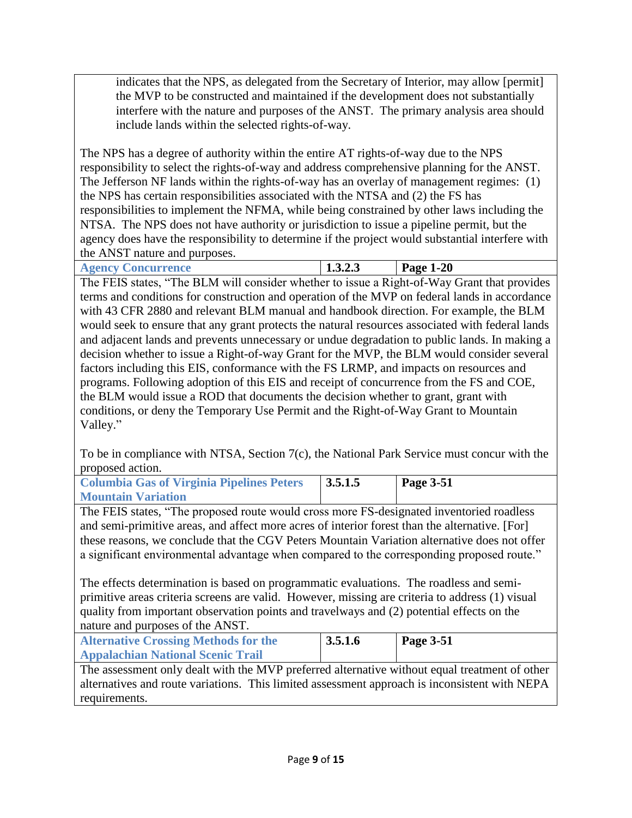indicates that the NPS, as delegated from the Secretary of Interior, may allow [permit] the MVP to be constructed and maintained if the development does not substantially interfere with the nature and purposes of the ANST. The primary analysis area should include lands within the selected rights-of-way.

The NPS has a degree of authority within the entire AT rights-of-way due to the NPS responsibility to select the rights-of-way and address comprehensive planning for the ANST. The Jefferson NF lands within the rights-of-way has an overlay of management regimes: (1) the NPS has certain responsibilities associated with the NTSA and (2) the FS has responsibilities to implement the NFMA, while being constrained by other laws including the NTSA. The NPS does not have authority or jurisdiction to issue a pipeline permit, but the agency does have the responsibility to determine if the project would substantial interfere with the ANST nature and purposes.

<span id="page-8-0"></span>

| <b>Agency Concurrence</b><br>$\pm 2.6$ | 1.J.Z.J | $1-20$<br>Page<br>. . |
|----------------------------------------|---------|-----------------------|
| .<br>___                               |         |                       |

The FEIS states, "The BLM will consider whether to issue a Right-of-Way Grant that provides terms and conditions for construction and operation of the MVP on federal lands in accordance with 43 CFR 2880 and relevant BLM manual and handbook direction. For example, the BLM would seek to ensure that any grant protects the natural resources associated with federal lands and adjacent lands and prevents unnecessary or undue degradation to public lands. In making a decision whether to issue a Right-of-way Grant for the MVP, the BLM would consider several factors including this EIS, conformance with the FS LRMP, and impacts on resources and programs. Following adoption of this EIS and receipt of concurrence from the FS and COE, the BLM would issue a ROD that documents the decision whether to grant, grant with conditions, or deny the Temporary Use Permit and the Right-of-Way Grant to Mountain Valley."

To be in compliance with NTSA, Section 7(c), the National Park Service must concur with the proposed action.

<span id="page-8-1"></span>

| <b>Columbia Gas of Virginia Pipelines Peters</b> | 3.5.1.5 | Page $3-51$ |
|--------------------------------------------------|---------|-------------|
| <b>Mountain Variation</b>                        |         |             |

The FEIS states, "The proposed route would cross more FS-designated inventoried roadless and semi-primitive areas, and affect more acres of interior forest than the alternative. [For] these reasons, we conclude that the CGV Peters Mountain Variation alternative does not offer a significant environmental advantage when compared to the corresponding proposed route."

The effects determination is based on programmatic evaluations. The roadless and semiprimitive areas criteria screens are valid. However, missing are criteria to address (1) visual quality from important observation points and travelways and (2) potential effects on the nature and purposes of the ANST.

<span id="page-8-2"></span>

| <b>Alternative Crossing Methods for the</b> | 3.5.1.6 | Page $3-51$ |
|---------------------------------------------|---------|-------------|
| <b>Appalachian National Scenic Trail</b>    |         |             |
|                                             |         |             |

The assessment only dealt with the MVP preferred alternative without equal treatment of other alternatives and route variations. This limited assessment approach is inconsistent with NEPA requirements.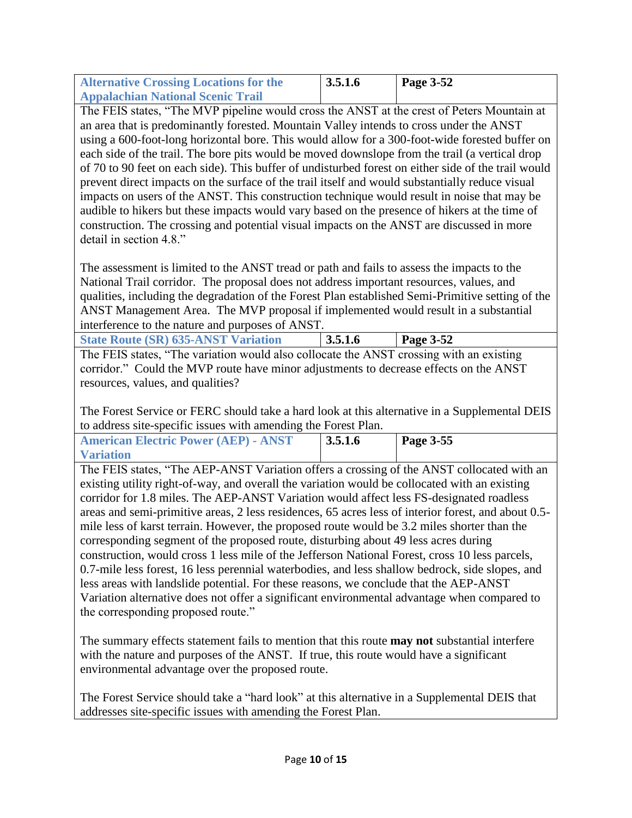<span id="page-9-0"></span>

| <b>Alternative Crossing Locations for the</b> | 3.5.1.6 | Page $3-52$ |
|-----------------------------------------------|---------|-------------|
| <b>Appalachian National Scenic Trail</b>      |         |             |

The FEIS states, "The MVP pipeline would cross the ANST at the crest of Peters Mountain at an area that is predominantly forested. Mountain Valley intends to cross under the ANST using a 600-foot-long horizontal bore. This would allow for a 300-foot-wide forested buffer on each side of the trail. The bore pits would be moved downslope from the trail (a vertical drop of 70 to 90 feet on each side). This buffer of undisturbed forest on either side of the trail would prevent direct impacts on the surface of the trail itself and would substantially reduce visual impacts on users of the ANST. This construction technique would result in noise that may be audible to hikers but these impacts would vary based on the presence of hikers at the time of construction. The crossing and potential visual impacts on the ANST are discussed in more detail in section 4.8."

The assessment is limited to the ANST tread or path and fails to assess the impacts to the National Trail corridor. The proposal does not address important resources, values, and qualities, including the degradation of the Forest Plan established Semi-Primitive setting of the ANST Management Area. The MVP proposal if implemented would result in a substantial interference to the nature and purposes of ANST.

<span id="page-9-1"></span>**State Route (SR) 635-ANST Variation 3.5.1.6 Page 3-52**

The FEIS states, "The variation would also collocate the ANST crossing with an existing corridor." Could the MVP route have minor adjustments to decrease effects on the ANST resources, values, and qualities?

The Forest Service or FERC should take a hard look at this alternative in a Supplemental DEIS to address site-specific issues with amending the Forest Plan.

<span id="page-9-2"></span>

| <b>American Electric Power (AEP) - ANST</b> | 3.5.1.6 | Page 3-55 |
|---------------------------------------------|---------|-----------|
| <b>Variation</b>                            |         |           |

The FEIS states, "The AEP-ANST Variation offers a crossing of the ANST collocated with an existing utility right-of-way, and overall the variation would be collocated with an existing corridor for 1.8 miles. The AEP-ANST Variation would affect less FS-designated roadless areas and semi-primitive areas, 2 less residences, 65 acres less of interior forest, and about 0.5 mile less of karst terrain. However, the proposed route would be 3.2 miles shorter than the corresponding segment of the proposed route, disturbing about 49 less acres during construction, would cross 1 less mile of the Jefferson National Forest, cross 10 less parcels, 0.7-mile less forest, 16 less perennial waterbodies, and less shallow bedrock, side slopes, and less areas with landslide potential. For these reasons, we conclude that the AEP-ANST Variation alternative does not offer a significant environmental advantage when compared to the corresponding proposed route."

The summary effects statement fails to mention that this route **may not** substantial interfere with the nature and purposes of the ANST. If true, this route would have a significant environmental advantage over the proposed route.

The Forest Service should take a "hard look" at this alternative in a Supplemental DEIS that addresses site-specific issues with amending the Forest Plan.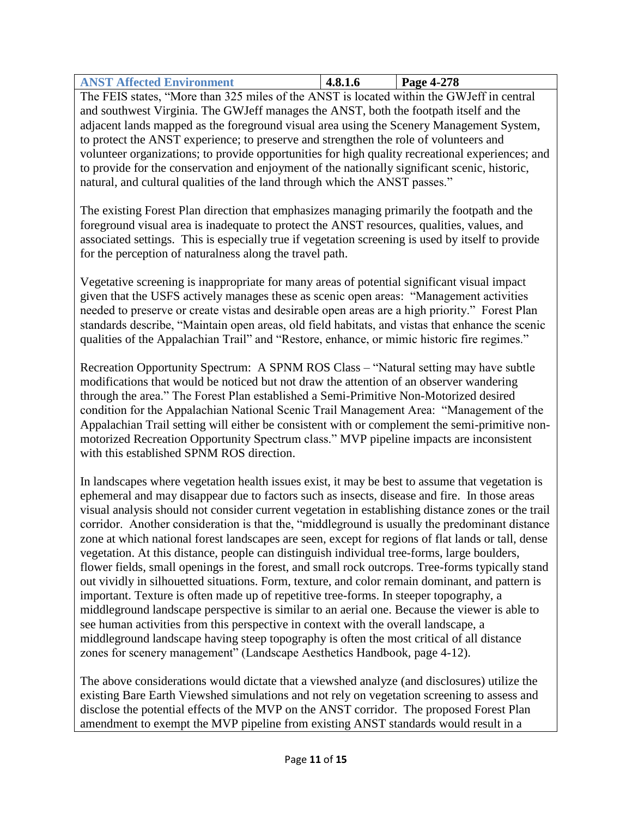<span id="page-10-0"></span>

| <b>ANST Affected Environment</b> | 4.8.1.6 | <b>Page 4-278</b> |
|----------------------------------|---------|-------------------|

The FEIS states, "More than 325 miles of the ANST is located within the GWJeff in central and southwest Virginia. The GWJeff manages the ANST, both the footpath itself and the adjacent lands mapped as the foreground visual area using the Scenery Management System, to protect the ANST experience; to preserve and strengthen the role of volunteers and volunteer organizations; to provide opportunities for high quality recreational experiences; and to provide for the conservation and enjoyment of the nationally significant scenic, historic, natural, and cultural qualities of the land through which the ANST passes."

The existing Forest Plan direction that emphasizes managing primarily the footpath and the foreground visual area is inadequate to protect the ANST resources, qualities, values, and associated settings. This is especially true if vegetation screening is used by itself to provide for the perception of naturalness along the travel path.

Vegetative screening is inappropriate for many areas of potential significant visual impact given that the USFS actively manages these as scenic open areas: "Management activities needed to preserve or create vistas and desirable open areas are a high priority." Forest Plan standards describe, "Maintain open areas, old field habitats, and vistas that enhance the scenic qualities of the Appalachian Trail" and "Restore, enhance, or mimic historic fire regimes."

Recreation Opportunity Spectrum: A SPNM ROS Class – "Natural setting may have subtle modifications that would be noticed but not draw the attention of an observer wandering through the area." The Forest Plan established a Semi-Primitive Non-Motorized desired condition for the Appalachian National Scenic Trail Management Area: "Management of the Appalachian Trail setting will either be consistent with or complement the semi-primitive nonmotorized Recreation Opportunity Spectrum class." MVP pipeline impacts are inconsistent with this established SPNM ROS direction.

In landscapes where vegetation health issues exist, it may be best to assume that vegetation is ephemeral and may disappear due to factors such as insects, disease and fire. In those areas visual analysis should not consider current vegetation in establishing distance zones or the trail corridor. Another consideration is that the, "middleground is usually the predominant distance zone at which national forest landscapes are seen, except for regions of flat lands or tall, dense vegetation. At this distance, people can distinguish individual tree-forms, large boulders, flower fields, small openings in the forest, and small rock outcrops. Tree-forms typically stand out vividly in silhouetted situations. Form, texture, and color remain dominant, and pattern is important. Texture is often made up of repetitive tree-forms. In steeper topography, a middleground landscape perspective is similar to an aerial one. Because the viewer is able to see human activities from this perspective in context with the overall landscape, a middleground landscape having steep topography is often the most critical of all distance zones for scenery management" (Landscape Aesthetics Handbook, page 4-12).

The above considerations would dictate that a viewshed analyze (and disclosures) utilize the existing Bare Earth Viewshed simulations and not rely on vegetation screening to assess and disclose the potential effects of the MVP on the ANST corridor. The proposed Forest Plan amendment to exempt the MVP pipeline from existing ANST standards would result in a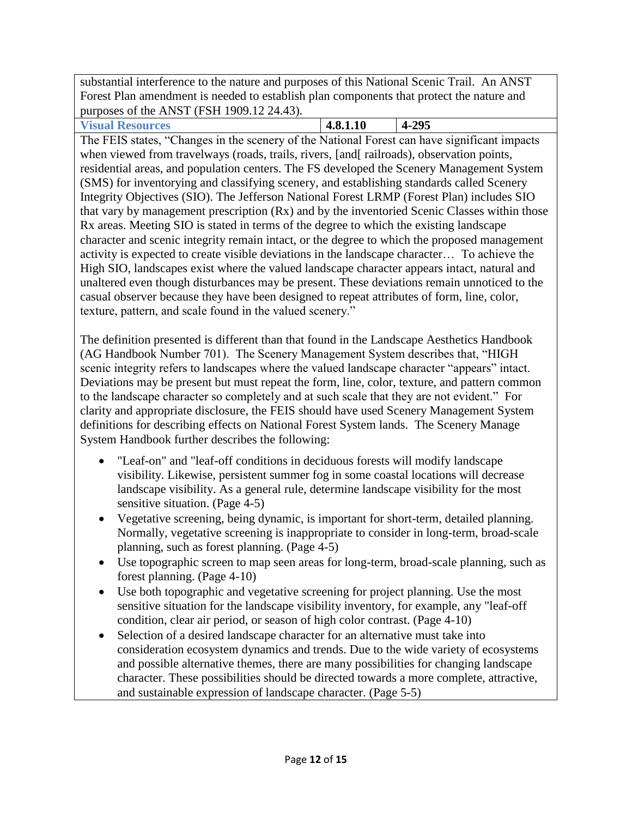substantial interference to the nature and purposes of this National Scenic Trail. An ANST Forest Plan amendment is needed to establish plan components that protect the nature and purposes of the ANST (FSH 1909.12 24.43).

<span id="page-11-0"></span>**Visual Resources 4.8.1.10 4-295** The FEIS states, "Changes in the scenery of the National Forest can have significant impacts when viewed from travelways (roads, trails, rivers, [and] railroads), observation points, residential areas, and population centers. The FS developed the Scenery Management System (SMS) for inventorying and classifying scenery, and establishing standards called Scenery Integrity Objectives (SIO). The Jefferson National Forest LRMP (Forest Plan) includes SIO that vary by management prescription (Rx) and by the inventoried Scenic Classes within those Rx areas. Meeting SIO is stated in terms of the degree to which the existing landscape character and scenic integrity remain intact, or the degree to which the proposed management activity is expected to create visible deviations in the landscape character… To achieve the High SIO, landscapes exist where the valued landscape character appears intact, natural and unaltered even though disturbances may be present. These deviations remain unnoticed to the casual observer because they have been designed to repeat attributes of form, line, color, texture, pattern, and scale found in the valued scenery."

The definition presented is different than that found in the Landscape Aesthetics Handbook (AG Handbook Number 701). The Scenery Management System describes that, "HIGH scenic integrity refers to landscapes where the valued landscape character "appears" intact. Deviations may be present but must repeat the form, line, color, texture, and pattern common to the landscape character so completely and at such scale that they are not evident." For clarity and appropriate disclosure, the FEIS should have used Scenery Management System definitions for describing effects on National Forest System lands. The Scenery Manage System Handbook further describes the following:

- "Leaf-on" and "leaf-off conditions in deciduous forests will modify landscape visibility. Likewise, persistent summer fog in some coastal locations will decrease landscape visibility. As a general rule, determine landscape visibility for the most sensitive situation. (Page 4-5)
- Vegetative screening, being dynamic, is important for short-term, detailed planning. Normally, vegetative screening is inappropriate to consider in long-term, broad-scale planning, such as forest planning. (Page 4-5)
- Use topographic screen to map seen areas for long-term, broad-scale planning, such as forest planning. (Page 4-10)
- Use both topographic and vegetative screening for project planning. Use the most sensitive situation for the landscape visibility inventory, for example, any "leaf-off condition, clear air period, or season of high color contrast. (Page 4-10)
- Selection of a desired landscape character for an alternative must take into consideration ecosystem dynamics and trends. Due to the wide variety of ecosystems and possible alternative themes, there are many possibilities for changing landscape character. These possibilities should be directed towards a more complete, attractive, and sustainable expression of landscape character. (Page 5-5)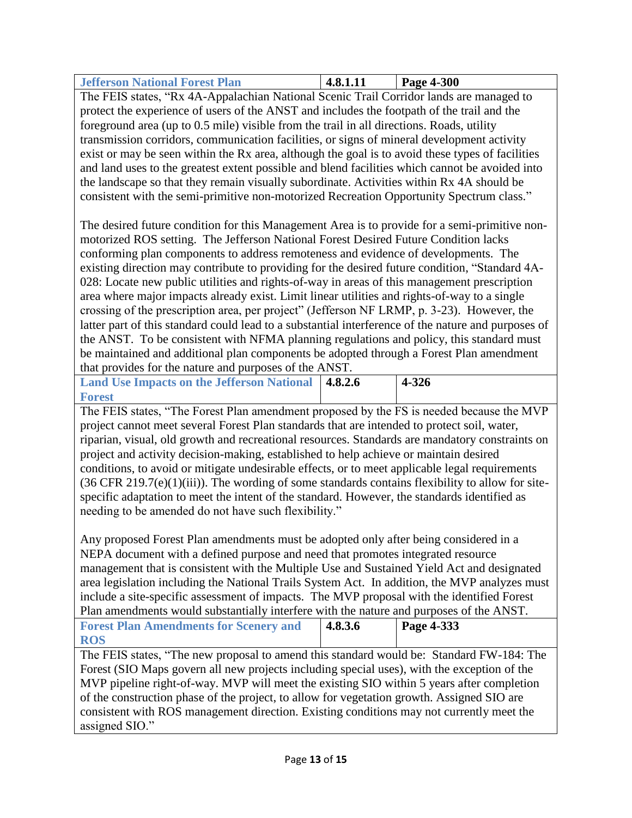<span id="page-12-0"></span>

| <b>Jefferson National Forest Plan</b>                                                  | 4.8.1.11 | <b>Page 4-300</b> |
|----------------------------------------------------------------------------------------|----------|-------------------|
| The FEIS states "Ry 4A-Annalachian National Scenic Trail Corridor lands are managed to |          |                   |

The FEIS states, "Rx 4A-Appalachian National Scenic Trail Corridor lands are managed to protect the experience of users of the ANST and includes the footpath of the trail and the foreground area (up to 0.5 mile) visible from the trail in all directions. Roads, utility transmission corridors, communication facilities, or signs of mineral development activity exist or may be seen within the Rx area, although the goal is to avoid these types of facilities and land uses to the greatest extent possible and blend facilities which cannot be avoided into the landscape so that they remain visually subordinate. Activities within Rx 4A should be consistent with the semi-primitive non-motorized Recreation Opportunity Spectrum class."

The desired future condition for this Management Area is to provide for a semi-primitive nonmotorized ROS setting. The Jefferson National Forest Desired Future Condition lacks conforming plan components to address remoteness and evidence of developments. The existing direction may contribute to providing for the desired future condition, "Standard 4A-028: Locate new public utilities and rights-of-way in areas of this management prescription area where major impacts already exist. Limit linear utilities and rights-of-way to a single crossing of the prescription area, per project" (Jefferson NF LRMP, p. 3-23). However, the latter part of this standard could lead to a substantial interference of the nature and purposes of the ANST. To be consistent with NFMA planning regulations and policy, this standard must be maintained and additional plan components be adopted through a Forest Plan amendment that provides for the nature and purposes of the ANST.

<span id="page-12-1"></span>**Land Use Impacts on the Jefferson National 4.8.2.6 4-326 Forest**

The FEIS states, "The Forest Plan amendment proposed by the FS is needed because the MVP project cannot meet several Forest Plan standards that are intended to protect soil, water, riparian, visual, old growth and recreational resources. Standards are mandatory constraints on project and activity decision-making, established to help achieve or maintain desired conditions, to avoid or mitigate undesirable effects, or to meet applicable legal requirements  $(36 \text{ CFR } 219.7\text{(e)}(1)\text{(iii)})$ . The wording of some standards contains flexibility to allow for sitespecific adaptation to meet the intent of the standard. However, the standards identified as needing to be amended do not have such flexibility."

Any proposed Forest Plan amendments must be adopted only after being considered in a NEPA document with a defined purpose and need that promotes integrated resource management that is consistent with the Multiple Use and Sustained Yield Act and designated area legislation including the National Trails System Act. In addition, the MVP analyzes must include a site-specific assessment of impacts. The MVP proposal with the identified Forest Plan amendments would substantially interfere with the nature and purposes of the ANST.

<span id="page-12-2"></span>

| <b>Forest Plan Amendments for Scenery and</b> | 4.8.3.6 | Page 4-333 |
|-----------------------------------------------|---------|------------|
| <b>ROS</b>                                    |         |            |

The FEIS states, "The new proposal to amend this standard would be: Standard FW-184: The Forest (SIO Maps govern all new projects including special uses), with the exception of the MVP pipeline right-of-way. MVP will meet the existing SIO within 5 years after completion of the construction phase of the project, to allow for vegetation growth. Assigned SIO are consistent with ROS management direction. Existing conditions may not currently meet the assigned SIO."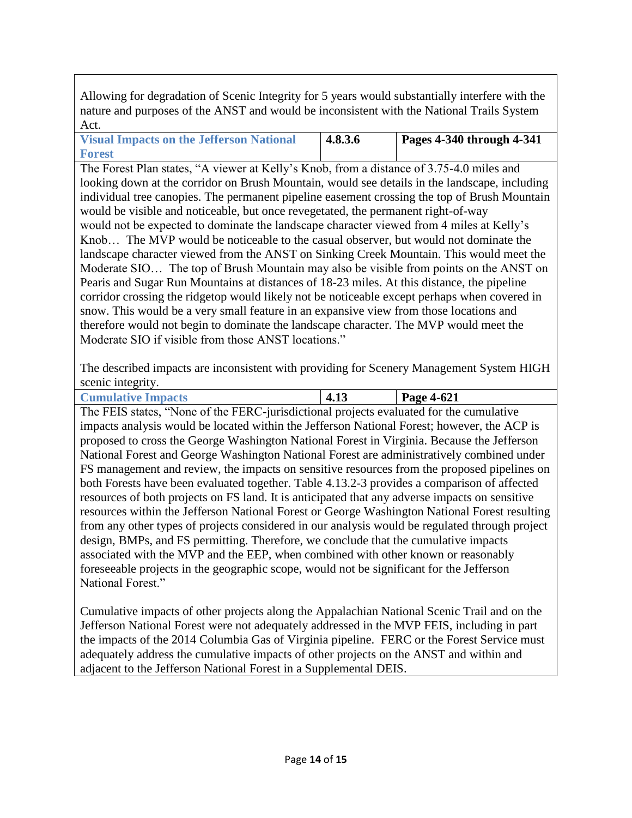Allowing for degradation of Scenic Integrity for 5 years would substantially interfere with the nature and purposes of the ANST and would be inconsistent with the National Trails System Act.

<span id="page-13-0"></span>**Visual Impacts on the Jefferson National Forest 4.8.3.6 Pages 4-340 through 4-341**

The Forest Plan states, "A viewer at Kelly's Knob, from a distance of 3.75-4.0 miles and looking down at the corridor on Brush Mountain, would see details in the landscape, including individual tree canopies. The permanent pipeline easement crossing the top of Brush Mountain would be visible and noticeable, but once revegetated, the permanent right-of-way would not be expected to dominate the landscape character viewed from 4 miles at Kelly's Knob… The MVP would be noticeable to the casual observer, but would not dominate the landscape character viewed from the ANST on Sinking Creek Mountain. This would meet the Moderate SIO… The top of Brush Mountain may also be visible from points on the ANST on Pearis and Sugar Run Mountains at distances of 18-23 miles. At this distance, the pipeline corridor crossing the ridgetop would likely not be noticeable except perhaps when covered in snow. This would be a very small feature in an expansive view from those locations and therefore would not begin to dominate the landscape character. The MVP would meet the Moderate SIO if visible from those ANST locations."

The described impacts are inconsistent with providing for Scenery Management System HIGH scenic integrity.

<span id="page-13-1"></span>

|        | <b>Cumulative Impacts</b> |  |            |  | ᠇… |  | Page 4-621 |  |
|--------|---------------------------|--|------------|--|----|--|------------|--|
| $\sim$ | _____                     |  | _____ _. . |  |    |  |            |  |

The FEIS states, "None of the FERC-jurisdictional projects evaluated for the cumulative impacts analysis would be located within the Jefferson National Forest; however, the ACP is proposed to cross the George Washington National Forest in Virginia. Because the Jefferson National Forest and George Washington National Forest are administratively combined under FS management and review, the impacts on sensitive resources from the proposed pipelines on both Forests have been evaluated together. Table 4.13.2-3 provides a comparison of affected resources of both projects on FS land. It is anticipated that any adverse impacts on sensitive resources within the Jefferson National Forest or George Washington National Forest resulting from any other types of projects considered in our analysis would be regulated through project design, BMPs, and FS permitting. Therefore, we conclude that the cumulative impacts associated with the MVP and the EEP, when combined with other known or reasonably foreseeable projects in the geographic scope, would not be significant for the Jefferson National Forest."

<span id="page-13-2"></span>Cumulative impacts of other projects along the Appalachian National Scenic Trail and on the Jefferson National Forest were not adequately addressed in the MVP FEIS, including in part the impacts of the 2014 Columbia Gas of Virginia pipeline. FERC or the Forest Service must adequately address the cumulative impacts of other projects on the ANST and within and adjacent to the Jefferson National Forest in a Supplemental DEIS.